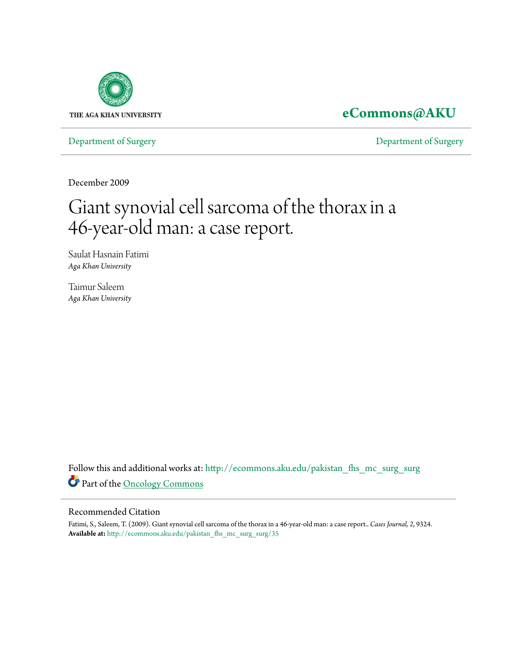

**[eCommons@AKU](http://ecommons.aku.edu?utm_source=ecommons.aku.edu%2Fpakistan_fhs_mc_surg_surg%2F35&utm_medium=PDF&utm_campaign=PDFCoverPages)**

[Department of Surgery](http://ecommons.aku.edu/pakistan_fhs_mc_surg_surg?utm_source=ecommons.aku.edu%2Fpakistan_fhs_mc_surg_surg%2F35&utm_medium=PDF&utm_campaign=PDFCoverPages) [Department of Surgery](http://ecommons.aku.edu/pakistan_fhs_mc_surg?utm_source=ecommons.aku.edu%2Fpakistan_fhs_mc_surg_surg%2F35&utm_medium=PDF&utm_campaign=PDFCoverPages)

December 2009

# Giant synovial cell sarcoma of the thorax in a 46-year-old man: a case report.

Saulat Hasnain Fatimi *Aga Khan University*

Taimur Saleem *Aga Khan University*

Follow this and additional works at: [http://ecommons.aku.edu/pakistan\\_fhs\\_mc\\_surg\\_surg](http://ecommons.aku.edu/pakistan_fhs_mc_surg_surg?utm_source=ecommons.aku.edu%2Fpakistan_fhs_mc_surg_surg%2F35&utm_medium=PDF&utm_campaign=PDFCoverPages) Part of the [Oncology Commons](http://network.bepress.com/hgg/discipline/694?utm_source=ecommons.aku.edu%2Fpakistan_fhs_mc_surg_surg%2F35&utm_medium=PDF&utm_campaign=PDFCoverPages)

#### Recommended Citation

Fatimi, S., Saleem, T. (2009). Giant synovial cell sarcoma of the thorax in a 46-year-old man: a case report.. *Cases Journal, 2*, 9324. **Available at:** [http://ecommons.aku.edu/pakistan\\_fhs\\_mc\\_surg\\_surg/35](http://ecommons.aku.edu/pakistan_fhs_mc_surg_surg/35)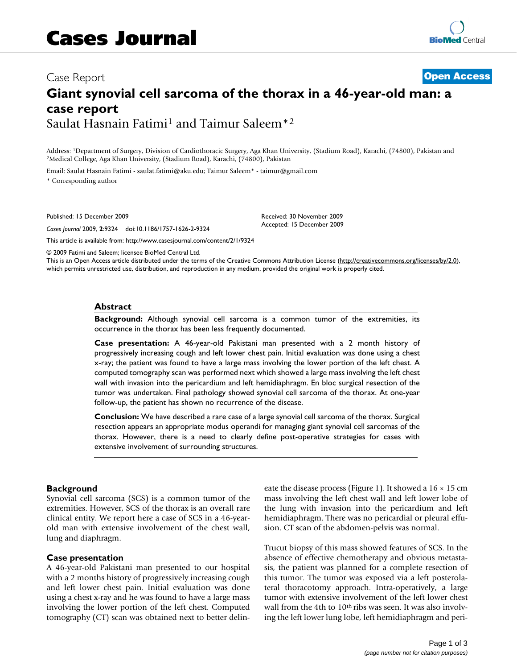## Case Report **[Open Access](http://www.biomedcentral.com/info/about/charter/) Giant synovial cell sarcoma of the thorax in a 46-year-old man: a case report** Saulat Hasnain Fatimi1 and Taimur Saleem\*2

Address: <sup>1</sup>Department of Surgery, Division of Cardiothoracic Surgery, Aga Khan University, (Stadium Road), Karachi, (74800), Pakistan and <sup>2</sup>Medical College, Aga Khan University, (Stadium Road), Karachi, (74800), Pakistan

Email: Saulat Hasnain Fatimi - saulat.fatimi@aku.edu; Taimur Saleem\* - taimur@gmail.com

\* Corresponding author

Published: 15 December 2009

*Cases Journal* 2009, **2**:9324 doi:10.1186/1757-1626-2-9324

[This article is available from: http://www.casesjournal.com/content/2/1/9324](http://www.casesjournal.com/content/2/1/9324)

Received: 30 November 2009 Accepted: 15 December 2009

© 2009 Fatimi and Saleem; licensee BioMed Central Ltd.

This is an Open Access article distributed under the terms of the Creative Commons Attribution License [\(http://creativecommons.org/licenses/by/2.0\)](http://creativecommons.org/licenses/by/2.0), which permits unrestricted use, distribution, and reproduction in any medium, provided the original work is properly cited.

#### **Abstract**

**Background:** Although synovial cell sarcoma is a common tumor of the extremities, its occurrence in the thorax has been less frequently documented.

**Case presentation:** A 46-year-old Pakistani man presented with a 2 month history of progressively increasing cough and left lower chest pain. Initial evaluation was done using a chest x-ray; the patient was found to have a large mass involving the lower portion of the left chest. A computed tomography scan was performed next which showed a large mass involving the left chest wall with invasion into the pericardium and left hemidiaphragm. En bloc surgical resection of the tumor was undertaken. Final pathology showed synovial cell sarcoma of the thorax. At one-year follow-up, the patient has shown no recurrence of the disease.

**Conclusion:** We have described a rare case of a large synovial cell sarcoma of the thorax. Surgical resection appears an appropriate modus operandi for managing giant synovial cell sarcomas of the thorax. However, there is a need to clearly define post-operative strategies for cases with extensive involvement of surrounding structures.

#### **Background**

Synovial cell sarcoma (SCS) is a common tumor of the extremities. However, SCS of the thorax is an overall rare clinical entity. We report here a case of SCS in a 46-yearold man with extensive involvement of the chest wall, lung and diaphragm.

#### **Case presentation**

A 46-year-old Pakistani man presented to our hospital with a 2 months history of progressively increasing cough and left lower chest pain. Initial evaluation was done using a chest x-ray and he was found to have a large mass involving the lower portion of the left chest. Computed tomography (CT) scan was obtained next to better delineate the disease process (Figure 1). It showed a  $16 \times 15$  cm mass involving the left chest wall and left lower lobe of the lung with invasion into the pericardium and left hemidiaphragm. There was no pericardial or pleural effusion. CT scan of the abdomen-pelvis was normal.

Trucut biopsy of this mass showed features of SCS. In the absence of effective chemotherapy and obvious metastasis, the patient was planned for a complete resection of this tumor. The tumor was exposed via a left posterolateral thoracotomy approach. Intra-operatively, a large tumor with extensive involvement of the left lower chest wall from the 4th to 10<sup>th</sup> ribs was seen. It was also involving the left lower lung lobe, left hemidiaphragm and peri-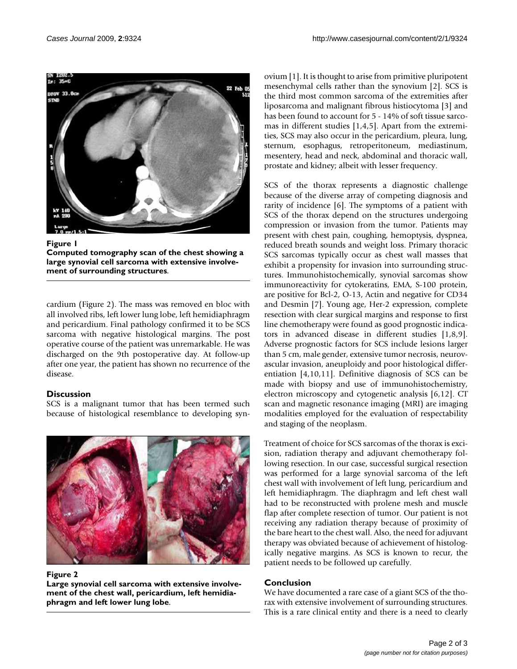

Figure 1 **Computed tomography scan of the chest showing a large synovial cell sarcoma with extensive involvement of surrounding structures**.

cardium (Figure 2). The mass was removed en bloc with all involved ribs, left lower lung lobe, left hemidiaphragm and pericardium. Final pathology confirmed it to be SCS sarcoma with negative histological margins. The post operative course of the patient was unremarkable. He was discharged on the 9th postoperative day. At follow-up after one year, the patient has shown no recurrence of the disease.

### **Discussion**

SCS is a malignant tumor that has been termed such because of histological resemblance to developing syn-



#### Figure 2

**Large synovial cell sarcoma with extensive involvement of the chest wall, pericardium, left hemidiaphragm and left lower lung lobe**.

ovium [1]. It is thought to arise from primitive pluripotent mesenchymal cells rather than the synovium [2]. SCS is the third most common sarcoma of the extremities after liposarcoma and malignant fibrous histiocytoma [3] and has been found to account for 5 - 14% of soft tissue sarcomas in different studies [1,4,5]. Apart from the extremities, SCS may also occur in the pericardium, pleura, lung, sternum, esophagus, retroperitoneum, mediastinum, mesentery, head and neck, abdominal and thoracic wall, prostate and kidney; albeit with lesser frequency.

SCS of the thorax represents a diagnostic challenge because of the diverse array of competing diagnosis and rarity of incidence [6]. The symptoms of a patient with SCS of the thorax depend on the structures undergoing compression or invasion from the tumor. Patients may present with chest pain, coughing, hemoptysis, dyspnea, reduced breath sounds and weight loss. Primary thoracic SCS sarcomas typically occur as chest wall masses that exhibit a propensity for invasion into surrounding structures. Immunohistochemically, synovial sarcomas show immunoreactivity for cytokeratins, EMA, S-100 protein, are positive for Bcl-2, O-13, Actin and negative for CD34 and Desmin [7]. Young age, Her-2 expression, complete resection with clear surgical margins and response to first line chemotherapy were found as good prognostic indicators in advanced disease in different studies [1,8,9]. Adverse prognostic factors for SCS include lesions larger than 5 cm, male gender, extensive tumor necrosis, neurovascular invasion, aneuploidy and poor histological differentiation [4,10,11]. Definitive diagnosis of SCS can be made with biopsy and use of immunohistochemistry, electron microscopy and cytogenetic analysis [6,12]. CT scan and magnetic resonance imaging (MRI) are imaging modalities employed for the evaluation of respectability and staging of the neoplasm.

Treatment of choice for SCS sarcomas of the thorax is excision, radiation therapy and adjuvant chemotherapy following resection. In our case, successful surgical resection was performed for a large synovial sarcoma of the left chest wall with involvement of left lung, pericardium and left hemidiaphragm. The diaphragm and left chest wall had to be reconstructed with prolene mesh and muscle flap after complete resection of tumor. Our patient is not receiving any radiation therapy because of proximity of the bare heart to the chest wall. Also, the need for adjuvant therapy was obviated because of achievement of histologically negative margins. As SCS is known to recur, the patient needs to be followed up carefully.

### **Conclusion**

We have documented a rare case of a giant SCS of the thorax with extensive involvement of surrounding structures. This is a rare clinical entity and there is a need to clearly